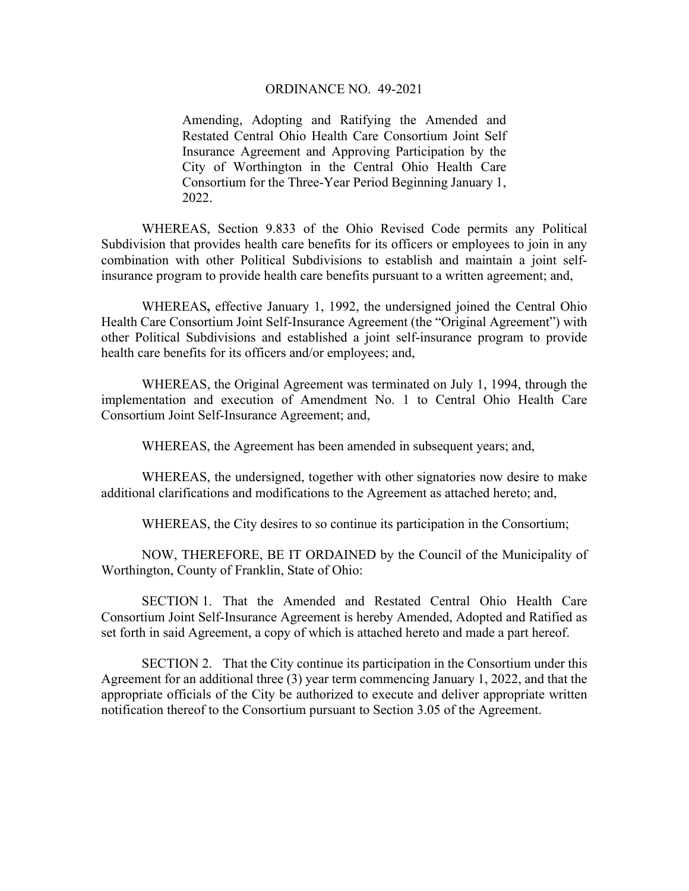## ORDINANCE NO. 49-2021

Amending, Adopting and Ratifying the Amended and Restated Central Ohio Health Care Consortium Joint Self Insurance Agreement and Approving Participation by the City of Worthington in the Central Ohio Health Care Consortium for the Three-Year Period Beginning January 1, 2022.

WHEREAS, Section 9.833 of the Ohio Revised Code permits any Political Subdivision that provides health care benefits for its officers or employees to join in any combination with other Political Subdivisions to establish and maintain a joint selfinsurance program to provide health care benefits pursuant to a written agreement; and,

 WHEREAS**,** effective January 1, 1992, the undersigned joined the Central Ohio Health Care Consortium Joint Self-Insurance Agreement (the "Original Agreement") with other Political Subdivisions and established a joint self-insurance program to provide health care benefits for its officers and/or employees; and,

 WHEREAS, the Original Agreement was terminated on July 1, 1994, through the implementation and execution of Amendment No. 1 to Central Ohio Health Care Consortium Joint Self-Insurance Agreement; and,

WHEREAS, the Agreement has been amended in subsequent years; and,

WHEREAS, the undersigned, together with other signatories now desire to make additional clarifications and modifications to the Agreement as attached hereto; and,

WHEREAS, the City desires to so continue its participation in the Consortium;

 NOW, THEREFORE, BE IT ORDAINED by the Council of the Municipality of Worthington, County of Franklin, State of Ohio:

 SECTION 1. That the Amended and Restated Central Ohio Health Care Consortium Joint Self-Insurance Agreement is hereby Amended, Adopted and Ratified as set forth in said Agreement, a copy of which is attached hereto and made a part hereof.

 SECTION 2. That the City continue its participation in the Consortium under this Agreement for an additional three (3) year term commencing January 1, 2022, and that the appropriate officials of the City be authorized to execute and deliver appropriate written notification thereof to the Consortium pursuant to Section 3.05 of the Agreement.